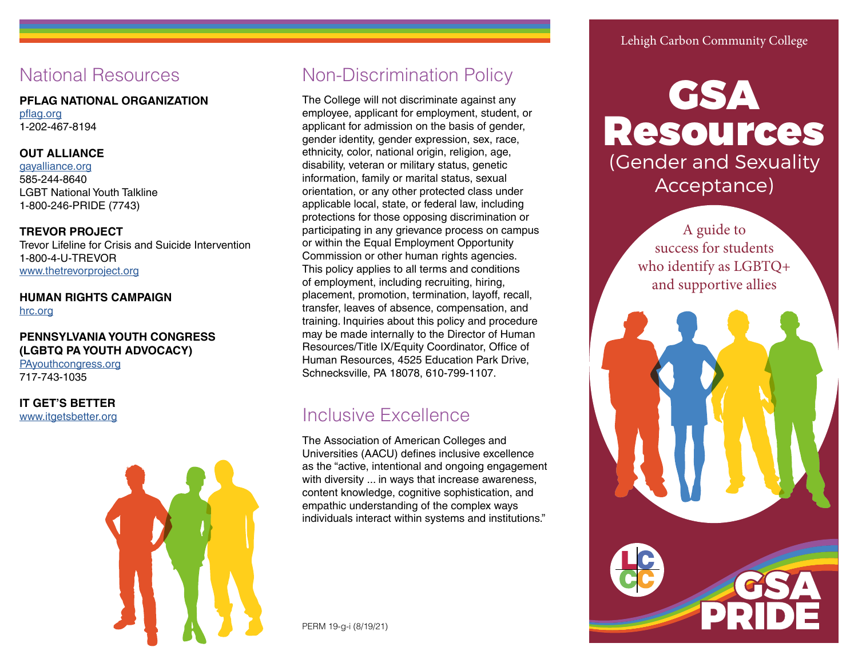# National Resources

#### **PFLAG NATIONAL ORGANIZATION**

[pflag.org](http://www.pflag.org) 1-202-467-8194

## **OUT ALLIANCE**

[gayalliance.org](http://www.gayalliance.org) 585-244-8640 LGBT National Youth Talkline 1-800-246-PRIDE (7743)

## **TREVOR PROJECT**

Trevor Lifeline for Crisis and Suicide Intervention 1-800-4-U-TREVOR [www.thetrevorproject.org](http://www.thetrevorproject.org)

# **HUMAN RIGHTS CAMPAIGN** [hrc.org](http://www.hrc.org)

# **PENNSYLVANIA YOUTH CONGRESS (LGBTQ PA YOUTH ADVOCACY)**

[PAyouthcongress.org](http://www.PAyouthcongress.org) 717-743-1035

**IT GET'S BETTER** [www.itgetsbetter.org](http://www.itgetsbetter.org)



# Non-Discrimination Policy

The College will not discriminate against any employee, applicant for employment, student, or applicant for admission on the basis of gender, gender identity, gender expression, sex, race, ethnicity, color, national origin, religion, age, disability, veteran or military status, genetic information, family or marital status, sexual orientation, or any other protected class under applicable local, state, or federal law, including protections for those opposing discrimination or participating in any grievance process on campus or within the Equal Employment Opportunity Commission or other human rights agencies. This policy applies to all terms and conditions of employment, including recruiting, hiring, placement, promotion, termination, layoff, recall, transfer, leaves of absence, compensation, and training. Inquiries about this policy and procedure may be made internally to the Director of Human Resources/Title IX/Equity Coordinator, Office of Human Resources, 4525 Education Park Drive, Schnecksville, PA 18078, 610-799-1107.

# Inclusive Excellence

The Association of American Colleges and Universities (AACU) defines inclusive excellence as the "active, intentional and ongoing engagement with diversity ... in ways that increase awareness, content knowledge, cognitive sophistication, and empathic understanding of the complex ways individuals interact within systems and institutions."

PERM 19-g-i (8/19/21)

# Lehigh Carbon Community College



A guide to success for students who identify as LGBTQ+ and supportive allies